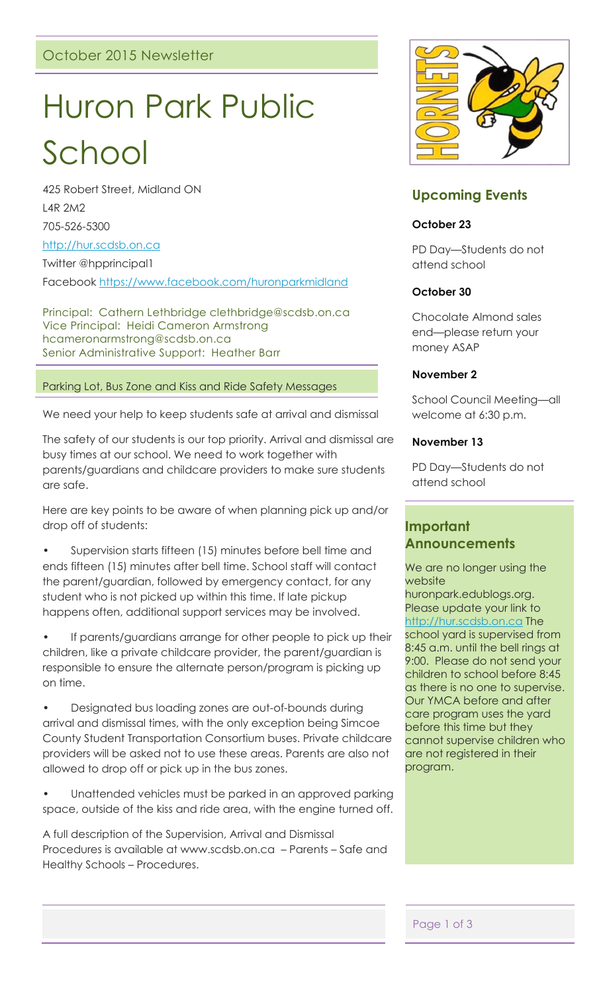# Huron Park Public

School

425 Robert Street, Midland ON L4R 2M2 705-526-5300

[http://hur.scdsb.on.ca](http://hur.scdsb.on.ca/)

Twitter @hpprincipal1

Facebook<https://www.facebook.com/huronparkmidland>

Principal: Cathern Lethbridge clethbridge@scdsb.on.ca Vice Principal: Heidi Cameron Armstrong hcameronarmstrong@scdsb.on.ca Senior Administrative Support: Heather Barr

### Parking Lot, Bus Zone and Kiss and Ride Safety Messages

We need your help to keep students safe at arrival and dismissal

The safety of our students is our top priority. Arrival and dismissal are busy times at our school. We need to work together with parents/guardians and childcare providers to make sure students are safe.

Here are key points to be aware of when planning pick up and/or drop off of students:

• Supervision starts fifteen (15) minutes before bell time and ends fifteen (15) minutes after bell time. School staff will contact the parent/guardian, followed by emergency contact, for any student who is not picked up within this time. If late pickup happens often, additional support services may be involved.

If parents/guardians arrange for other people to pick up their children, like a private childcare provider, the parent/guardian is responsible to ensure the alternate person/program is picking up on time.

• Designated bus loading zones are out-of-bounds during arrival and dismissal times, with the only exception being Simcoe County Student Transportation Consortium buses. Private childcare providers will be asked not to use these areas. Parents are also not allowed to drop off or pick up in the bus zones.

Unattended vehicles must be parked in an approved parking space, outside of the kiss and ride area, with the engine turned off.

A full description of the Supervision, Arrival and Dismissal Procedures is available at www.scdsb.on.ca – Parents – Safe and Healthy Schools – Procedures.



# **Upcoming Events**

### **October 23**

PD Day—Students do not attend school

# **October 30**

Chocolate Almond sales end—please return your money ASAP

### **November 2**

School Council Meeting—all welcome at 6:30 p.m.

### **November 13**

PD Day—Students do not attend school

# **Important Announcements**

We are no longer using the website

huronpark.edublogs.org. Please update your link to [http://hur.scdsb.on.ca](http://hur.scdsb.on.ca/) The school yard is supervised from 8:45 a.m. until the bell rings at 9:00. Please do not send your children to school before 8:45 as there is no one to supervise. Our YMCA before and after care program uses the yard before this time but they cannot supervise children who are not registered in their program.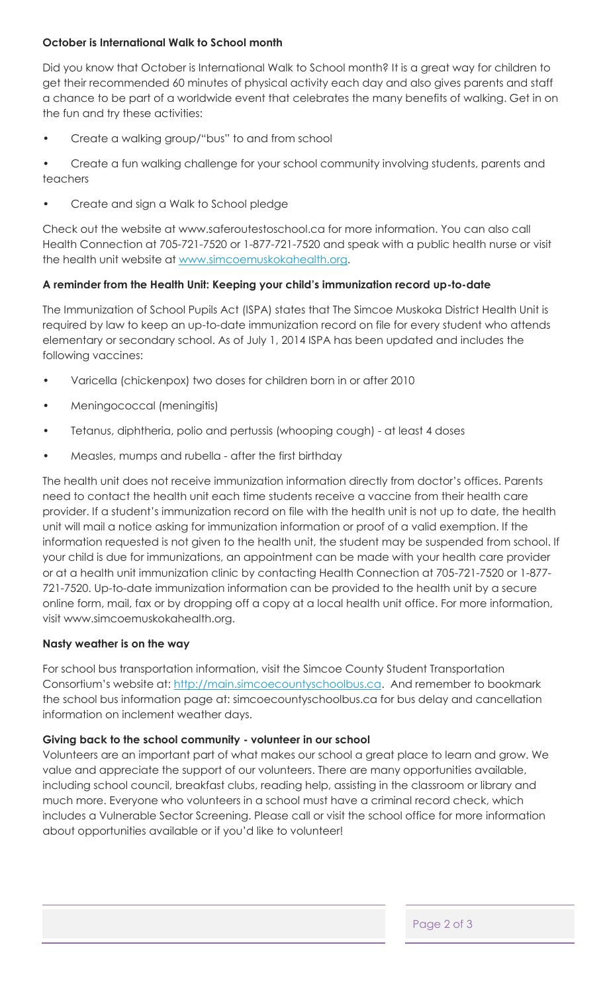# **October is International Walk to School month**

Did you know that October is International Walk to School month? It is a great way for children to get their recommended 60 minutes of physical activity each day and also gives parents and staff a chance to be part of a worldwide event that celebrates the many benefits of walking. Get in on the fun and try these activities:

• Create a walking group/"bus" to and from school

• Create a fun walking challenge for your school community involving students, parents and teachers

• Create and sign a Walk to School pledge

Check out the website at www.saferoutestoschool.ca for more information. You can also call Health Connection at 705-721-7520 or 1-877-721-7520 and speak with a public health nurse or visit the health unit website at [www.simcoemuskokahealth.org.](http://www.simcoemuskokahealth.org/)

### **A reminder from the Health Unit: Keeping your child's immunization record up-to-date**

The Immunization of School Pupils Act (ISPA) states that The Simcoe Muskoka District Health Unit is required by law to keep an up-to-date immunization record on file for every student who attends elementary or secondary school. As of July 1, 2014 ISPA has been updated and includes the following vaccines:

- Varicella (chickenpox) two doses for children born in or after 2010
- Meningococcal (meningitis)
- Tetanus, diphtheria, polio and pertussis (whooping cough) at least 4 doses
- Measles, mumps and rubella after the first birthday

The health unit does not receive immunization information directly from doctor's offices. Parents need to contact the health unit each time students receive a vaccine from their health care provider. If a student's immunization record on file with the health unit is not up to date, the health unit will mail a notice asking for immunization information or proof of a valid exemption. If the information requested is not given to the health unit, the student may be suspended from school. If your child is due for immunizations, an appointment can be made with your health care provider or at a health unit immunization clinic by contacting Health Connection at 705-721-7520 or 1-877- 721-7520. Up-to-date immunization information can be provided to the health unit by a secure online form, mail, fax or by dropping off a copy at a local health unit office. For more information, visit www.simcoemuskokahealth.org.

#### **Nasty weather is on the way**

For school bus transportation information, visit the Simcoe County Student Transportation Consortium's website at: [http://main.simcoecountyschoolbus.ca.](http://main.simcoecountyschoolbus.ca/) And remember to bookmark the school bus information page at: simcoecountyschoolbus.ca for bus delay and cancellation information on inclement weather days.

#### **Giving back to the school community - volunteer in our school**

Volunteers are an important part of what makes our school a great place to learn and grow. We value and appreciate the support of our volunteers. There are many opportunities available, including school council, breakfast clubs, reading help, assisting in the classroom or library and much more. Everyone who volunteers in a school must have a criminal record check, which includes a Vulnerable Sector Screening. Please call or visit the school office for more information about opportunities available or if you'd like to volunteer!